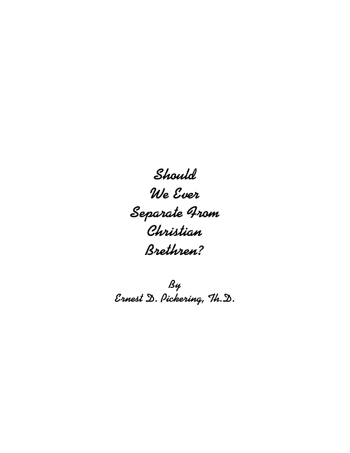**Should We Ever Separate From Christian Brethren?**

**By Ernest D. Pickering, Th.D.**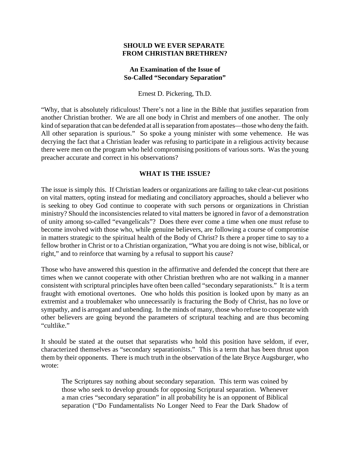### **SHOULD WE EVER SEPARATE FROM CHRISTIAN BRETHREN?**

### **An Examination of the Issue of So-Called "Secondary Separation"**

Ernest D. Pickering, Th.D.

"Why, that is absolutely ridiculous! There's not a line in the Bible that justifies separation from another Christian brother. We are all one body in Christ and members of one another. The only kind of separation that can be defended at all is separation from apostates—those who deny the faith. All other separation is spurious." So spoke a young minister with some vehemence. He was decrying the fact that a Christian leader was refusing to participate in a religious activity because there were men on the program who held compromising positions of various sorts. Was the young preacher accurate and correct in his observations?

### **WHAT IS THE ISSUE?**

The issue is simply this. If Christian leaders or organizations are failing to take clear-cut positions on vital matters, opting instead for mediating and conciliatory approaches, should a believer who is seeking to obey God continue to cooperate with such persons or organizations in Christian ministry? Should the inconsistencies related to vital matters be ignored in favor of a demonstration of unity among so-called "evangelicals"? Does there ever come a time when one must refuse to become involved with those who, while genuine believers, are following a course of compromise in matters strategic to the spiritual health of the Body of Christ? Is there a proper time to say to a fellow brother in Christ or to a Christian organization, "What you are doing is not wise, biblical, or right," and to reinforce that warning by a refusal to support his cause?

Those who have answered this question in the affirmative and defended the concept that there are times when we cannot cooperate with other Christian brethren who are not walking in a manner consistent with scriptural principles have often been called "secondary separationists." It is a term fraught with emotional overtones. One who holds this position is looked upon by many as an extremist and a troublemaker who unnecessarily is fracturing the Body of Christ, has no love or sympathy, and is arrogant and unbending. In the minds of many, those who refuse to cooperate with other believers are going beyond the parameters of scriptural teaching and are thus becoming "cultlike."

It should be stated at the outset that separatists who hold this position have seldom, if ever, characterized themselves as "secondary separationists." This is a term that has been thrust upon them by their opponents. There is much truth in the observation of the late Bryce Augsburger, who wrote:

The Scriptures say nothing about secondary separation. This term was coined by those who seek to develop grounds for opposing Scriptural separation. Whenever a man cries "secondary separation" in all probability he is an opponent of Biblical separation ("Do Fundamentalists No Longer Need to Fear the Dark Shadow of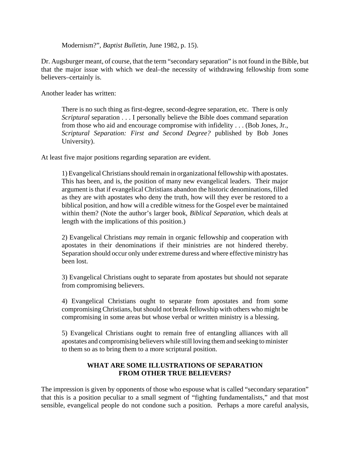Modernism?", *Baptist Bulletin*, June 1982, p. 15).

Dr. Augsburger meant, of course, that the term "secondary separation" is not found in the Bible, but that the major issue with which we deal–the necessity of withdrawing fellowship from some believers–certainly is.

Another leader has written:

There is no such thing as first-degree, second-degree separation, etc. There is only *Scriptural* separation . . . I personally believe the Bible does command separation from those who aid and encourage compromise with infidelity . . . (Bob Jones, Jr., *Scriptural Separation: First and Second Degree?* published by Bob Jones University).

At least five major positions regarding separation are evident.

1) Evangelical Christians should remain in organizational fellowship with apostates. This has been, and is, the position of many new evangelical leaders. Their major argument is that if evangelical Christians abandon the historic denominations, filled as they are with apostates who deny the truth, how will they ever be restored to a biblical position, and how will a credible witness for the Gospel ever be maintained within them? (Note the author's larger book, *Biblical Separation*, which deals at length with the implications of this position.)

2) Evangelical Christians *may* remain in organic fellowship and cooperation with apostates in their denominations if their ministries are not hindered thereby. Separation should occur only under extreme duress and where effective ministry has been lost.

3) Evangelical Christians ought to separate from apostates but should not separate from compromising believers.

4) Evangelical Christians ought to separate from apostates and from some compromising Christians, but should not break fellowship with others who might be compromising in some areas but whose verbal or written ministry is a blessing.

5) Evangelical Christians ought to remain free of entangling alliances with all apostates and compromising believers while still loving them and seeking to minister to them so as to bring them to a more scriptural position.

# **WHAT ARE SOME ILLUSTRATIONS OF SEPARATION FROM OTHER TRUE BELIEVERS?**

The impression is given by opponents of those who espouse what is called "secondary separation" that this is a position peculiar to a small segment of "fighting fundamentalists," and that most sensible, evangelical people do not condone such a position. Perhaps a more careful analysis,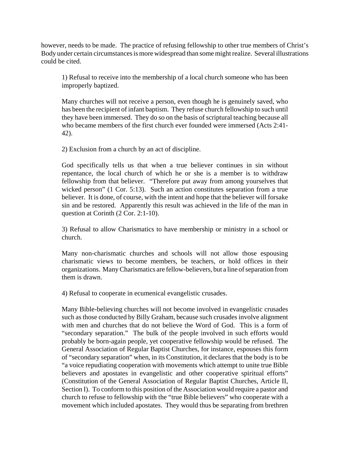however, needs to be made. The practice of refusing fellowship to other true members of Christ's Body under certain circumstances is more widespread than some might realize. Several illustrations could be cited.

1) Refusal to receive into the membership of a local church someone who has been improperly baptized.

Many churches will not receive a person, even though he is genuinely saved, who has been the recipient of infant baptism. They refuse church fellowship to such until they have been immersed. They do so on the basis of scriptural teaching because all who became members of the first church ever founded were immersed (Acts 2:41- 42).

2) Exclusion from a church by an act of discipline.

God specifically tells us that when a true believer continues in sin without repentance, the local church of which he or she is a member is to withdraw fellowship from that believer. "Therefore put away from among yourselves that wicked person" (1 Cor. 5:13). Such an action constitutes separation from a true believer. It is done, of course, with the intent and hope that the believer will forsake sin and be restored. Apparently this result was achieved in the life of the man in question at Corinth (2 Cor. 2:1-10).

3) Refusal to allow Charismatics to have membership or ministry in a school or church.

Many non-charismatic churches and schools will not allow those espousing charismatic views to become members, be teachers, or hold offices in their organizations. Many Charismatics are fellow-believers, but a line of separation from them is drawn.

4) Refusal to cooperate in ecumenical evangelistic crusades.

Many Bible-believing churches will not become involved in evangelistic crusades such as those conducted by Billy Graham, because such crusades involve alignment with men and churches that do not believe the Word of God. This is a form of "secondary separation." The bulk of the people involved in such efforts would probably be born-again people, yet cooperative fellowship would be refused. The General Association of Regular Baptist Churches, for instance, espouses this form of "secondary separation" when, in its Constitution, it declares that the body is to be "a voice repudiating cooperation with movements which attempt to unite true Bible believers and apostates in evangelistic and other cooperative spiritual efforts" (Constitution of the General Association of Regular Baptist Churches, Article II, Section I). To conform to this position of the Association would require a pastor and church to refuse to fellowship with the "true Bible believers" who cooperate with a movement which included apostates. They would thus be separating from brethren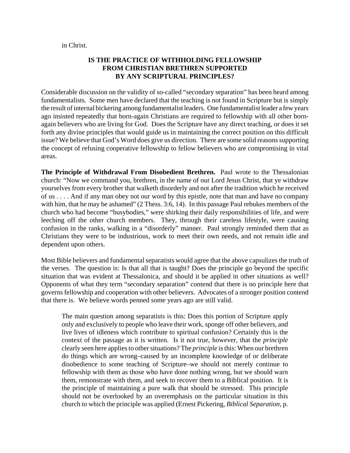#### in Christ.

## **IS THE PRACTICE OF WITHHOLDING FELLOWSHIP FROM CHRISTIAN BRETHREN SUPPORTED BY ANY SCRIPTURAL PRINCIPLES?**

Considerable discussion on the validity of so-called "secondary separation" has been heard among fundamentalists. Some men have declared that the teaching is not found in Scripture but is simply the result of internal bickering among fundamentalist leaders. One fundamentalist leader a few years ago insisted repeatedly that born-again Christians are required to fellowship with all other bornagain believers who are living for God. Does the Scripture have any direct teaching, or does it set forth any divine principles that would guide us in maintaining the correct position on this difficult issue? We believe that God's Word does give us direction. There are some solid reasons supporting the concept of refusing cooperative fellowship to fellow believers who are compromising in vital areas.

**The Principle of Withdrawal From Disobedient Brethren.** Paul wrote to the Thessalonian church: "Now we command you, brethren, in the name of our Lord Jesus Christ, that ye withdraw yourselves from every brother that walketh disorderly and not after the tradition which he received of us . . . . And if any man obey not our word by this epistle, note that man and have no company with him, that he may be ashamed" (2 Thess. 3:6, 14). In this passage Paul rebukes members of the church who had become "busybodies," were shirking their daily responsibilities of life, and were leeching off the other church members. They, through their careless lifestyle, were causing confusion in the ranks, walking in a "disorderly" manner. Paul strongly reminded them that as Christians they were to be industrious, work to meet their own needs, and not remain idle and dependent upon others.

Most Bible believers and fundamental separatists would agree that the above capsulizes the truth of the verses. The question is: Is that all that is taught? Does the principle go beyond the specific situation that was evident at Thessalonica, and should it be applied in other situations as well? Opponents of what they term "secondary separation" contend that there is no principle here that governs fellowship and cooperation with other believers. Advocates of a stronger position contend that there is. We believe words penned some years ago are still valid.

The main question among separatists is this: Does this portion of Scripture apply only and exclusively to people who leave their work, sponge off other believers, and live lives of idleness which contribute to spiritual confusion? Certainly this is the context of the passage as it is written. Is it not true, however, that the *principle* clearly seen here applies to other situations? The *principle* is this: When our brethren do things which are wrong–caused by an incomplete knowledge of or deliberate disobedience to some teaching of Scripture–we should not merely continue to fellowship with them as those who have done nothing wrong, but we should warn them, remonstrate with them, and seek to recover them to a Biblical position. It is the principle of maintaining a pure walk that should be stressed. This principle should not be overlooked by an overemphasis on the particular situation in this church to which the principle was applied (Ernest Pickering, *Biblical Separation*, p.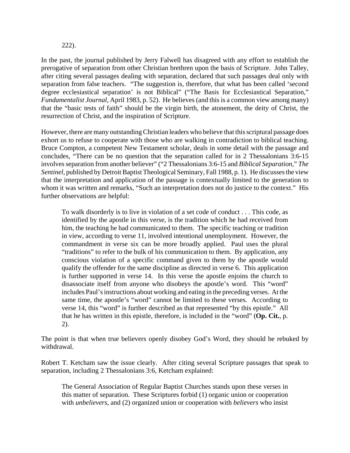#### 222).

In the past, the journal published by Jerry Falwell has disagreed with any effort to establish the prerogative of separation from other Christian brethren upon the basis of Scripture. John Talley, after citing several passages dealing with separation, declared that such passages deal only with separation from false teachers. "The suggestion is, therefore, that what has been called 'second degree ecclesiastical separation' is not Biblical" ("The Basis for Ecclesiastical Separation," *Fundamentalist Journal*, April 1983, p. 52). He believes (and this is a common view among many) that the "basic tests of faith" should be the virgin birth, the atonement, the deity of Christ, the resurrection of Christ, and the inspiration of Scripture.

However, there are many outstanding Christian leaders who believe that this scriptural passage does exhort us to refuse to cooperate with those who are walking in contradiction to biblical teaching. Bruce Compton, a competent New Testament scholar, deals in some detail with the passage and concludes, "There can be no question that the separation called for in 2 Thessalonians 3:6-15 involves separation from another believer" ("2 Thessalonians 3:6-15 and *Biblical Separation*," *The Sentinel*, published by Detroit Baptist Theological Seminary, Fall 1988, p. 1). He discusses the view that the interpretation and application of the passage is contextually limited to the generation to whom it was written and remarks, "Such an interpretation does not do justice to the context." His further observations are helpful:

To walk disorderly is to live in violation of a set code of conduct . . . This code, as identified by the apostle in this verse, is the tradition which he had received from him, the teaching he had communicated to them. The specific teaching or tradition in view, according to verse 11, involved intentional unemployment. However, the commandment in verse six can be more broadly applied. Paul uses the plural "traditions" to refer to the bulk of his communication to them. By application, any conscious violation of a specific command given to them by the apostle would qualify the offender for the same discipline as directed in verse 6. This application is further supported in verse 14. In this verse the apostle enjoins the church to disassociate itself from anyone who disobeys the apostle's word. This "word" includes Paul's instructions about working and eating in the preceding verses. At the same time, the apostle's "word" cannot be limited to these verses. According to verse 14, this "word" is further described as that represented "by this epistle." All that he has written in this epistle, therefore, is included in the "word" (**Op. Cit.**, p. 2).

The point is that when true believers openly disobey God's Word, they should be rebuked by withdrawal.

Robert T. Ketcham saw the issue clearly. After citing several Scripture passages that speak to separation, including 2 Thessalonians 3:6, Ketcham explained:

The General Association of Regular Baptist Churches stands upon these verses in this matter of separation. These Scriptures forbid (1) organic union or cooperation with *unbelievers*, and (2) organized union or cooperation with *believers* who insist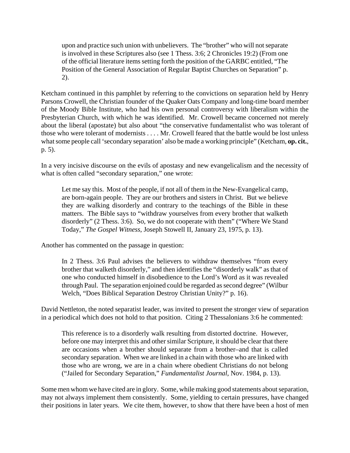upon and practice such union with unbelievers. The "brother" who will not separate is involved in these Scriptures also (see 1 Thess. 3:6; 2 Chronicles 19:2) (From one of the official literature items setting forth the position of the GARBC entitled, "The Position of the General Association of Regular Baptist Churches on Separation" p. 2).

Ketcham continued in this pamphlet by referring to the convictions on separation held by Henry Parsons Crowell, the Christian founder of the Quaker Oats Company and long-time board member of the Moody Bible Institute, who had his own personal controversy with liberalism within the Presbyterian Church, with which he was identified. Mr. Crowell became concerned not merely about the liberal (apostate) but also about "the conservative fundamentalist who was tolerant of those who were tolerant of modernists . . . . Mr. Crowell feared that the battle would be lost unless what some people call 'secondary separation' also be made a working principle" (Ketcham, **op. cit.**, p. 5).

In a very incisive discourse on the evils of apostasy and new evangelicalism and the necessity of what is often called "secondary separation," one wrote:

Let me say this. Most of the people, if not all of them in the New-Evangelical camp, are born-again people. They are our brothers and sisters in Christ. But we believe they are walking disorderly and contrary to the teachings of the Bible in these matters. The Bible says to "withdraw yourselves from every brother that walketh disorderly" (2 Thess. 3:6). So, we do not cooperate with them" ("Where We Stand Today," *The Gospel Witness*, Joseph Stowell II, January 23, 1975, p. 13).

Another has commented on the passage in question:

In 2 Thess. 3:6 Paul advises the believers to withdraw themselves "from every brother that walketh disorderly," and then identifies the "disorderly walk" as that of one who conducted himself in disobedience to the Lord's Word as it was revealed through Paul. The separation enjoined could be regarded as second degree" (Wilbur Welch, "Does Biblical Separation Destroy Christian Unity?" p. 16).

David Nettleton, the noted separatist leader, was invited to present the stronger view of separation in a periodical which does not hold to that position. Citing 2 Thessalonians 3:6 he commented:

This reference is to a disorderly walk resulting from distorted doctrine. However, before one may interpret this and other similar Scripture, it should be clear that there are occasions when a brother should separate from a brother–and that is called secondary separation. When we are linked in a chain with those who are linked with those who are wrong, we are in a chain where obedient Christians do not belong ("Jailed for Secondary Separation," *Fundamentalist Journal*, Nov. 1984, p. 13).

Some men whom we have cited are in glory. Some, while making good statements about separation, may not always implement them consistently. Some, yielding to certain pressures, have changed their positions in later years. We cite them, however, to show that there have been a host of men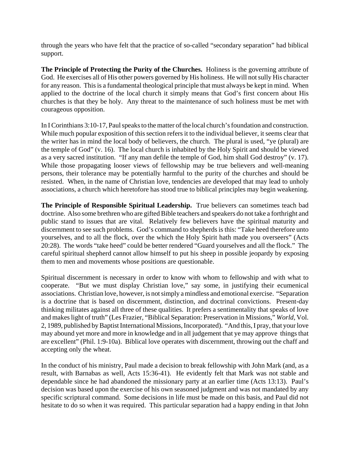through the years who have felt that the practice of so-called "secondary separation" had biblical support.

**The Principle of Protecting the Purity of the Churches.** Holiness is the governing attribute of God. He exercises all of His other powers governed by His holiness. He will not sully His character for any reason. This is a fundamental theological principle that must always be kept in mind. When applied to the doctrine of the local church it simply means that God's first concern about His churches is that they be holy. Any threat to the maintenance of such holiness must be met with courageous opposition.

In I Corinthians 3:10-17, Paul speaks to the matter of the local church's foundation and construction. While much popular exposition of this section refers it to the individual believer, it seems clear that the writer has in mind the local body of believers, the church. The plural is used, "ye (plural) are the temple of God" (v. 16). The local church is inhabited by the Holy Spirit and should be viewed as a very sacred institution. "If any man defile the temple of God, him shall God destroy" (v. 17). While those propagating looser views of fellowship may be true believers and well-meaning persons, their tolerance may be potentially harmful to the purity of the churches and should be resisted. When, in the name of Christian love, tendencies are developed that may lead to unholy associations, a church which heretofore has stood true to biblical principles may begin weakening.

**The Principle of Responsible Spiritual Leadership.** True believers can sometimes teach bad doctrine. Also some brethren who are gifted Bible teachers and speakers do not take a forthright and public stand to issues that are vital. Relatively few believers have the spiritual maturity and discernment to see such problems. God's command to shepherds is this: "Take heed therefore unto yourselves, and to all the flock, over the which the Holy Spirit hath made you overseers" (Acts 20:28). The words "take heed" could be better rendered "Guard yourselves and all the flock." The careful spiritual shepherd cannot allow himself to put his sheep in possible jeopardy by exposing them to men and movements whose positions are questionable.

Spiritual discernment is necessary in order to know with whom to fellowship and with what to cooperate. "But we must display Christian love," say some, in justifying their ecumenical associations. Christian love, however, is not simply a mindless and emotional exercise. "Separation is a doctrine that is based on discernment, distinction, and doctrinal convictions. Present-day thinking militates against all three of these qualities. It prefers a sentimentality that speaks of love and makes light of truth" (Les Frazier, "Biblical Separation: Preservation in Missions," *World*, Vol. 2, 1989, published by Baptist International Missions, Incorporated). "And this, I pray, that your love may abound yet more and more in knowledge and in all judgement that ye may approve things that are excellent" (Phil. 1:9-10a). Biblical love operates with discernment, throwing out the chaff and accepting only the wheat.

In the conduct of his ministry, Paul made a decision to break fellowship with John Mark (and, as a result, with Barnabas as well, Acts 15:36-41). He evidently felt that Mark was not stable and dependable since he had abandoned the missionary party at an earlier time (Acts 13:13). Paul's decision was based upon the exercise of his own seasoned judgment and was not mandated by any specific scriptural command. Some decisions in life must be made on this basis, and Paul did not hesitate to do so when it was required. This particular separation had a happy ending in that John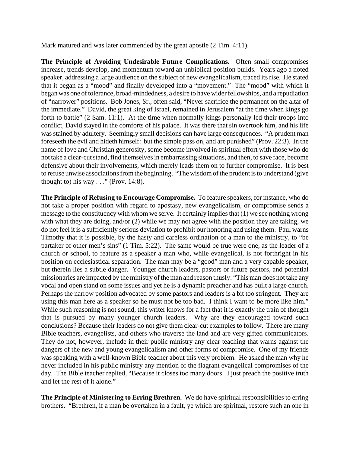Mark matured and was later commended by the great apostle (2 Tim. 4:11).

**The Principle of Avoiding Undesirable Future Complications.** Often small compromises increase, trends develop, and momentum toward an unbiblical position builds. Years ago a noted speaker, addressing a large audience on the subject of new evangelicalism, traced its rise. He stated that it began as a "mood" and finally developed into a "movement." The "mood" with which it began was one of tolerance, broad-mindedness, a desire to have wider fellowships, and a repudiation of "narrower" positions. Bob Jones, Sr., often said, "Never sacrifice the permanent on the altar of the immediate." David, the great king of Israel, remained in Jerusalem "at the time when kings go forth to battle" (2 Sam. 11:1). At the time when normally kings personally led their troops into conflict, David stayed in the comforts of his palace. It was there that sin overtook him, and his life was stained by adultery. Seemingly small decisions can have large consequences. "A prudent man foreseeth the evil and hideth himself: but the simple pass on, and are punished" (Prov. 22:3). In the name of love and Christian generosity, some become involved in spiritual effort with those who do not take a clear-cut stand, find themselves in embarrassing situations, and then, to save face, become defensive about their involvements, which merely leads them on to further compromise. It is best to refuse unwise associations from the beginning. "The wisdom of the prudent is to understand (give thought to) his way  $\ldots$  " (Prov. 14:8).

**The Principle of Refusing to Encourage Compromise.** To feature speakers, for instance, who do not take a proper position with regard to apostasy, new evangelicalism, or compromise sends a message to the constituency with whom we serve. It certainly implies that (1) we see nothing wrong with what they are doing, and/or (2) while we may not agree with the position they are taking, we do not feel it is a sufficiently serious deviation to prohibit our honoring and using them. Paul warns Timothy that it is possible, by the hasty and careless ordination of a man to the ministry, to "be partaker of other men's sins" (1 Tim. 5:22). The same would be true were one, as the leader of a church or school, to feature as a speaker a man who, while evangelical, is not forthright in his position on ecclesiastical separation. The man may be a "good" man and a very capable speaker, but therein lies a subtle danger. Younger church leaders, pastors or future pastors, and potential missionaries are impacted by the ministry of the man and reason thusly: "This man does not take any vocal and open stand on some issues and yet he is a dynamic preacher and has built a large church. Perhaps the narrow position advocated by some pastors and leaders is a bit too stringent. They are using this man here as a speaker so he must not be too bad. I think I want to be more like him." While such reasoning is not sound, this writer knows for a fact that it is exactly the train of thought that is pursued by many younger church leaders. Why are they encouraged toward such conclusions? Because their leaders do not give them clear-cut examples to follow. There are many Bible teachers, evangelists, and others who traverse the land and are very gifted communicators. They do not, however, include in their public ministry any clear teaching that warns against the dangers of the new and young evangelicalism and other forms of compromise. One of my friends was speaking with a well-known Bible teacher about this very problem. He asked the man why he never included in his public ministry any mention of the flagrant evangelical compromises of the day. The Bible teacher replied, "Because it closes too many doors. I just preach the positive truth and let the rest of it alone."

**The Principle of Ministering to Erring Brethren.** We do have spiritual responsibilities to erring brothers. "Brethren, if a man be overtaken in a fault, ye which are spiritual, restore such an one in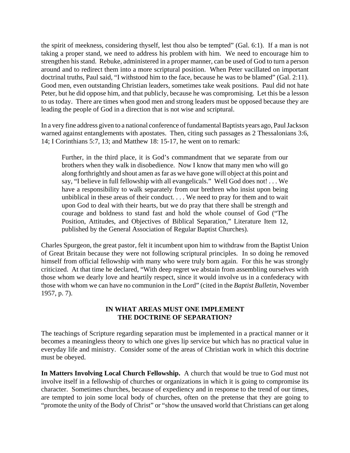the spirit of meekness, considering thyself, lest thou also be tempted" (Gal. 6:1). If a man is not taking a proper stand, we need to address his problem with him. We need to encourage him to strengthen his stand. Rebuke, administered in a proper manner, can be used of God to turn a person around and to redirect them into a more scriptural position. When Peter vacillated on important doctrinal truths, Paul said, "I withstood him to the face, because he was to be blamed" (Gal. 2:11). Good men, even outstanding Christian leaders, sometimes take weak positions. Paul did not hate Peter, but he did oppose him, and that publicly, because he was compromising. Let this be a lesson to us today. There are times when good men and strong leaders must be opposed because they are leading the people of God in a direction that is not wise and scriptural.

In a very fine address given to a national conference of fundamental Baptists years ago, Paul Jackson warned against entanglements with apostates. Then, citing such passages as 2 Thessalonians 3:6, 14; I Corinthians 5:7, 13; and Matthew 18: 15-17, he went on to remark:

Further, in the third place, it is God's commandment that we separate from our brothers when they walk in disobedience. Now I know that many men who will go along forthrightly and shout amen as far as we have gone will object at this point and say, "I believe in full fellowship with all evangelicals." Well God does not! . . . We have a responsibility to walk separately from our brethren who insist upon being unbiblical in these areas of their conduct. . . . We need to pray for them and to wait upon God to deal with their hearts, but we do pray that there shall be strength and courage and boldness to stand fast and hold the whole counsel of God ("The Position, Attitudes, and Objectives of Biblical Separation," Literature Item 12, published by the General Association of Regular Baptist Churches).

Charles Spurgeon, the great pastor, felt it incumbent upon him to withdraw from the Baptist Union of Great Britain because they were not following scriptural principles. In so doing he removed himself from official fellowship with many who were truly born again. For this he was strongly criticized. At that time he declared, "With deep regret we abstain from assembling ourselves with those whom we dearly love and heartily respect, since it would involve us in a confederacy with those with whom we can have no communion in the Lord" (cited in the *Baptist Bulletin*, November 1957, p. 7).

## **IN WHAT AREAS MUST ONE IMPLEMENT THE DOCTRINE OF SEPARATION?**

The teachings of Scripture regarding separation must be implemented in a practical manner or it becomes a meaningless theory to which one gives lip service but which has no practical value in everyday life and ministry. Consider some of the areas of Christian work in which this doctrine must be obeyed.

**In Matters Involving Local Church Fellowship.** A church that would be true to God must not involve itself in a fellowship of churches or organizations in which it is going to compromise its character. Sometimes churches, because of expediency and in response to the trend of our times, are tempted to join some local body of churches, often on the pretense that they are going to "promote the unity of the Body of Christ" or "show the unsaved world that Christians can get along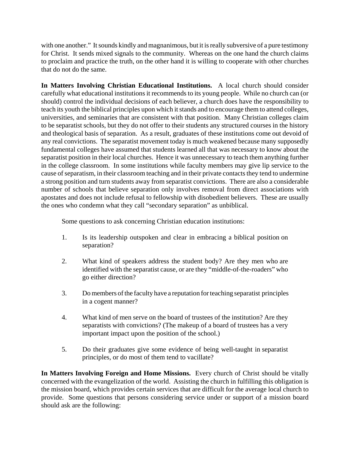with one another." It sounds kindly and magnanimous, but it is really subversive of a pure testimony for Christ. It sends mixed signals to the community. Whereas on the one hand the church claims to proclaim and practice the truth, on the other hand it is willing to cooperate with other churches that do not do the same.

**In Matters Involving Christian Educational Institutions.** A local church should consider carefully what educational institutions it recommends to its young people. While no church can (or should) control the individual decisions of each believer, a church does have the responsibility to teach its youth the biblical principles upon which it stands and to encourage them to attend colleges, universities, and seminaries that are consistent with that position. Many Christian colleges claim to be separatist schools, but they do not offer to their students any structured courses in the history and theological basis of separation. As a result, graduates of these institutions come out devoid of any real convictions. The separatist movement today is much weakened because many supposedly fundamental colleges have assumed that students learned all that was necessary to know about the separatist position in their local churches. Hence it was unnecessary to teach them anything further in the college classroom. In some institutions while faculty members may give lip service to the cause of separatism, in their classroom teaching and in their private contacts they tend to undermine a strong position and turn students away from separatist convictions. There are also a considerable number of schools that believe separation only involves removal from direct associations with apostates and does not include refusal to fellowship with disobedient believers. These are usually the ones who condemn what they call "secondary separation" as unbiblical.

Some questions to ask concerning Christian education institutions:

- 1. Is its leadership outspoken and clear in embracing a biblical position on separation?
- 2. What kind of speakers address the student body? Are they men who are identified with the separatist cause, or are they "middle-of-the-roaders" who go either direction?
- 3. Do members of the faculty have a reputation for teaching separatist principles in a cogent manner?
- 4. What kind of men serve on the board of trustees of the institution? Are they separatists with convictions? (The makeup of a board of trustees has a very important impact upon the position of the school.)
- 5. Do their graduates give some evidence of being well-taught in separatist principles, or do most of them tend to vacillate?

**In Matters Involving Foreign and Home Missions.** Every church of Christ should be vitally concerned with the evangelization of the world. Assisting the church in fulfilling this obligation is the mission board, which provides certain services that are difficult for the average local church to provide. Some questions that persons considering service under or support of a mission board should ask are the following: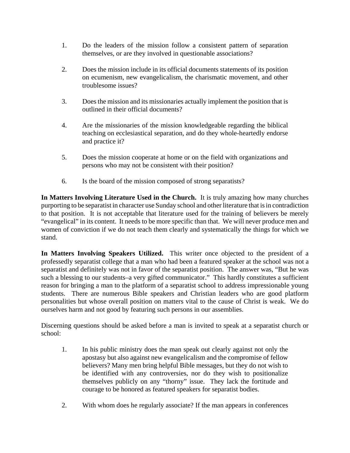- 1. Do the leaders of the mission follow a consistent pattern of separation themselves, or are they involved in questionable associations?
- 2. Does the mission include in its official documents statements of its position on ecumenism, new evangelicalism, the charismatic movement, and other troublesome issues?
- 3. Does the mission and its missionaries actually implement the position that is outlined in their official documents?
- 4. Are the missionaries of the mission knowledgeable regarding the biblical teaching on ecclesiastical separation, and do they whole-heartedly endorse and practice it?
- 5. Does the mission cooperate at home or on the field with organizations and persons who may not be consistent with their position?
- 6. Is the board of the mission composed of strong separatists?

**In Matters Involving Literature Used in the Church.** It is truly amazing how many churches purporting to be separatist in character use Sunday school and other literature that is in contradiction to that position. It is not acceptable that literature used for the training of believers be merely "evangelical" in its content. It needs to be more specific than that. We will never produce men and women of conviction if we do not teach them clearly and systematically the things for which we stand.

**In Matters Involving Speakers Utilized.** This writer once objected to the president of a professedly separatist college that a man who had been a featured speaker at the school was not a separatist and definitely was not in favor of the separatist position. The answer was, "But he was such a blessing to our students–a very gifted communicator." This hardly constitutes a sufficient reason for bringing a man to the platform of a separatist school to address impressionable young students. There are numerous Bible speakers and Christian leaders who are good platform personalities but whose overall position on matters vital to the cause of Christ is weak. We do ourselves harm and not good by featuring such persons in our assemblies.

Discerning questions should be asked before a man is invited to speak at a separatist church or school:

- 1. In his public ministry does the man speak out clearly against not only the apostasy but also against new evangelicalism and the compromise of fellow believers? Many men bring helpful Bible messages, but they do not wish to be identified with any controversies, nor do they wish to positionalize themselves publicly on any "thorny" issue. They lack the fortitude and courage to be honored as featured speakers for separatist bodies.
- 2. With whom does he regularly associate? If the man appears in conferences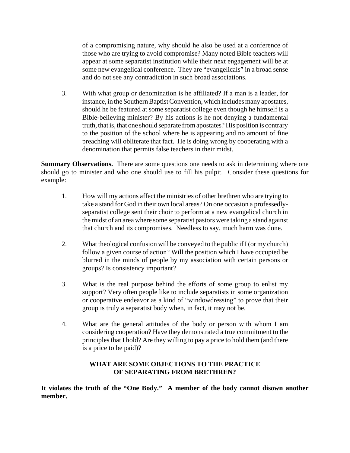of a compromising nature, why should he also be used at a conference of those who are trying to avoid compromise? Many noted Bible teachers will appear at some separatist institution while their next engagement will be at some new evangelical conference. They are "evangelicals" in a broad sense and do not see any contradiction in such broad associations.

3. With what group or denomination is he affiliated? If a man is a leader, for instance, in the Southern Baptist Convention, which includes many apostates, should he be featured at some separatist college even though he himself is a Bible-believing minister? By his actions is he not denying a fundamental truth, that is, that one should separate from apostates? His position is contrary to the position of the school where he is appearing and no amount of fine preaching will obliterate that fact. He is doing wrong by cooperating with a denomination that permits false teachers in their midst.

**Summary Observations.** There are some questions one needs to ask in determining where one should go to minister and who one should use to fill his pulpit. Consider these questions for example:

- 1. How will my actions affect the ministries of other brethren who are trying to take a stand for God in their own local areas? On one occasion a professedlyseparatist college sent their choir to perform at a new evangelical church in the midst of an area where some separatist pastors were taking a stand against that church and its compromises. Needless to say, much harm was done.
- 2. What theological confusion will be conveyed to the public if I (or my church) follow a given course of action? Will the position which I have occupied be blurred in the minds of people by my association with certain persons or groups? Is consistency important?
- 3. What is the real purpose behind the efforts of some group to enlist my support? Very often people like to include separatists in some organization or cooperative endeavor as a kind of "windowdressing" to prove that their group is truly a separatist body when, in fact, it may not be.
- 4. What are the general attitudes of the body or person with whom I am considering cooperation? Have they demonstrated a true commitment to the principles that I hold? Are they willing to pay a price to hold them (and there is a price to be paid)?

# **WHAT ARE SOME OBJECTIONS TO THE PRACTICE OF SEPARATING FROM BRETHREN?**

**It violates the truth of the "One Body." A member of the body cannot disown another member.**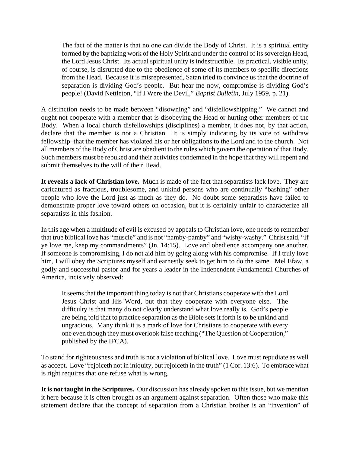The fact of the matter is that no one can divide the Body of Christ. It is a spiritual entity formed by the baptizing work of the Holy Spirit and under the control of its sovereign Head, the Lord Jesus Christ. Its actual spiritual unity is indestructible. Its practical, visible unity, of course, is disrupted due to the obedience of some of its members to specific directions from the Head. Because it is misrepresented, Satan tried to convince us that the doctrine of separation is dividing God's people. But hear me now, compromise is dividing God's people! (David Nettleton, "If I Were the Devil," *Baptist Bulletin*, July 1959, p. 21).

A distinction needs to be made between "disowning" and "disfellowshipping." We cannot and ought not cooperate with a member that is disobeying the Head or hurting other members of the Body. When a local church disfellowships (disciplines) a member, it does not, by that action, declare that the member is not a Christian. It is simply indicating by its vote to withdraw fellowship–that the member has violated his or her obligations to the Lord and to the church. Not all members of the Body of Christ are obedient to the rules which govern the operation of that Body. Such members must be rebuked and their activities condemned in the hope that they will repent and submit themselves to the will of their Head.

**It reveals a lack of Christian love.** Much is made of the fact that separatists lack love. They are caricatured as fractious, troublesome, and unkind persons who are continually "bashing" other people who love the Lord just as much as they do. No doubt some separatists have failed to demonstrate proper love toward others on occasion, but it is certainly unfair to characterize all separatists in this fashion.

In this age when a multitude of evil is excused by appeals to Christian love, one needs to remember that true biblical love has "muscle" and is not "namby-pamby" and "wishy-washy." Christ said, "If ye love me, keep my commandments" (Jn. 14:15). Love and obedience accompany one another. If someone is compromising, I do not aid him by going along with his compromise. If I truly love him, I will obey the Scriptures myself and earnestly seek to get him to do the same. Mel Efaw, a godly and successful pastor and for years a leader in the Independent Fundamental Churches of America, incisively observed:

It seems that the important thing today is not that Christians cooperate with the Lord Jesus Christ and His Word, but that they cooperate with everyone else. The difficulty is that many do not clearly understand what love really is. God's people are being told that to practice separation as the Bible sets it forth is to be unkind and ungracious. Many think it is a mark of love for Christians to cooperate with every one even though they must overlook false teaching ("The Question of Cooperation," published by the IFCA).

To stand for righteousness and truth is not a violation of biblical love. Love must repudiate as well as accept. Love "rejoiceth not in iniquity, but rejoiceth in the truth" (1 Cor. 13:6). To embrace what is right requires that one refuse what is wrong.

**It is not taught in the Scriptures.** Our discussion has already spoken to this issue, but we mention it here because it is often brought as an argument against separation. Often those who make this statement declare that the concept of separation from a Christian brother is an "invention" of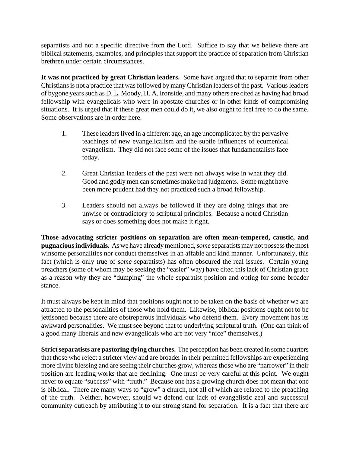separatists and not a specific directive from the Lord. Suffice to say that we believe there are biblical statements, examples, and principles that support the practice of separation from Christian brethren under certain circumstances.

**It was not practiced by great Christian leaders.** Some have argued that to separate from other Christians is not a practice that was followed by many Christian leaders of the past. Various leaders of bygone years such as D. L. Moody, H. A. Ironside, and many others are cited as having had broad fellowship with evangelicals who were in apostate churches or in other kinds of compromising situations. It is urged that if these great men could do it, we also ought to feel free to do the same. Some observations are in order here.

- 1. These leaders lived in a different age, an age uncomplicated by the pervasive teachings of new evangelicalism and the subtle influences of ecumenical evangelism. They did not face some of the issues that fundamentalists face today.
- 2. Great Christian leaders of the past were not always wise in what they did. Good and godly men can sometimes make bad judgments. Some might have been more prudent had they not practiced such a broad fellowship.
- 3. Leaders should not always be followed if they are doing things that are unwise or contradictory to scriptural principles. Because a noted Christian says or does something does not make it right.

**Those advocating stricter positions on separation are often mean-tempered, caustic, and pugnacious individuals.** As we have already mentioned, *some* separatists may not possess the most winsome personalities nor conduct themselves in an affable and kind manner. Unfortunately, this fact (which is only true of *some* separatists) has often obscured the real issues. Certain young preachers (some of whom may be seeking the "easier" way) have cited this lack of Christian grace as a reason why they are "dumping" the whole separatist position and opting for some broader stance.

It must always be kept in mind that positions ought not to be taken on the basis of whether we are attracted to the personalities of those who hold them. Likewise, biblical positions ought not to be jettisoned because there are obstreperous individuals who defend them. Every movement has its awkward personalities. We must see beyond that to underlying scriptural truth. (One can think of a good many liberals and new evangelicals who are not very "nice" themselves.)

**Strict separatists are pastoring dying churches.** The perception has been created in some quarters that those who reject a stricter view and are broader in their permitted fellowships are experiencing more divine blessing and are seeing their churches grow, whereas those who are "narrower" in their position are leading works that are declining. One must be very careful at this point. We ought never to equate "success" with "truth." Because one has a growing church does not mean that one is biblical. There are many ways to "grow" a church, not all of which are related to the preaching of the truth. Neither, however, should we defend our lack of evangelistic zeal and successful community outreach by attributing it to our strong stand for separation. It is a fact that there are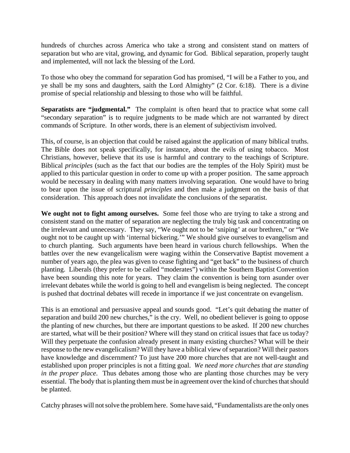hundreds of churches across America who take a strong and consistent stand on matters of separation but who are vital, growing, and dynamic for God. Biblical separation, properly taught and implemented, will not lack the blessing of the Lord.

To those who obey the command for separation God has promised, "I will be a Father to you, and ye shall be my sons and daughters, saith the Lord Almighty" (2 Cor. 6:18). There is a divine promise of special relationship and blessing to those who will be faithful.

**Separatists are "judgmental."** The complaint is often heard that to practice what some call "secondary separation" is to require judgments to be made which are not warranted by direct commands of Scripture. In other words, there is an element of subjectivism involved.

This, of course, is an objection that could be raised against the application of many biblical truths. The Bible does not speak specifically, for instance, about the evils of using tobacco. Most Christians, however, believe that its use is harmful and contrary to the teachings of Scripture. Biblical *principles* (such as the fact that our bodies are the temples of the Holy Spirit) must be applied to this particular question in order to come up with a proper position. The same approach would be necessary in dealing with many matters involving separation. One would have to bring to bear upon the issue of scriptural *principles* and then make a judgment on the basis of that consideration. This approach does not invalidate the conclusions of the separatist.

**We ought not to fight among ourselves.** Some feel those who are trying to take a strong and consistent stand on the matter of separation are neglecting the truly big task and concentrating on the irrelevant and unnecessary. They say, "We ought not to be 'sniping' at our brethren," or "We ought not to be caught up with 'internal bickering.'" We should give ourselves to evangelism and to church planting. Such arguments have been heard in various church fellowships. When the battles over the new evangelicalism were waging within the Conservative Baptist movement a number of years ago, the plea was given to cease fighting and "get back" to the business of church planting. Liberals (they prefer to be called "moderates") within the Southern Baptist Convention have been sounding this note for years. They claim the convention is being torn asunder over irrelevant debates while the world is going to hell and evangelism is being neglected. The concept is pushed that doctrinal debates will recede in importance if we just concentrate on evangelism.

This is an emotional and persuasive appeal and sounds good. "Let's quit debating the matter of separation and build 200 new churches," is the cry. Well, no obedient believer is going to oppose the planting of new churches, but there are important questions to be asked. If 200 new churches are started, what will be their position? Where will they stand on critical issues that face us today? Will they perpetuate the confusion already present in many existing churches? What will be their response to the new evangelicalism? Will they have a biblical view of separation? Will their pastors have knowledge and discernment? To just have 200 more churches that are not well-taught and established upon proper principles is not a fitting goal. *We need more churches that are standing in the proper place*. Thus debates among those who are planting those churches may be very essential. The body that is planting them must be in agreement over the kind of churches that should be planted.

Catchy phrases will not solve the problem here. Some have said, "Fundamentalists are the only ones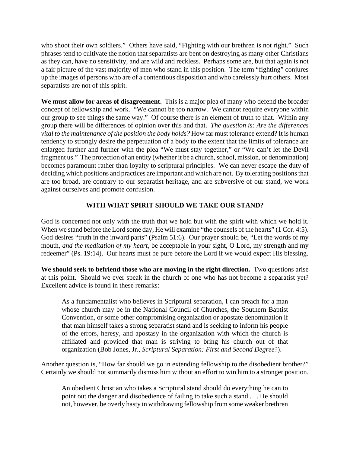who shoot their own soldiers." Others have said, "Fighting with our brethren is not right." Such phrases tend to cultivate the notion that separatists are bent on destroying as many other Christians as they can, have no sensitivity, and are wild and reckless. Perhaps some are, but that again is not a fair picture of the vast majority of men who stand in this position. The term "fighting" conjures up the images of persons who are of a contentious disposition and who carelessly hurt others. Most separatists are not of this spirit.

**We must allow for areas of disagreement.** This is a major plea of many who defend the broader concept of fellowship and work. "We cannot be too narrow. We cannot require everyone within our group to see things the same way." Of course there is an element of truth to that. Within any group there will be differences of opinion over this and that. *The question is: Are the differences vital to the maintenance of the position the body holds?* How far must tolerance extend? It is human tendency to strongly desire the perpetuation of a body to the extent that the limits of tolerance are enlarged further and further with the plea "We must stay together," or "We can't let the Devil fragment us." The protection of an entity (whether it be a church, school, mission, or denomination) becomes paramount rather than loyalty to scriptural principles. We can never escape the duty of deciding which positions and practices are important and which are not. By tolerating positions that are too broad, are contrary to our separatist heritage, and are subversive of our stand, we work against ourselves and promote confusion.

## **WITH WHAT SPIRIT SHOULD WE TAKE OUR STAND?**

God is concerned not only with the truth that we hold but with the spirit with which we hold it. When we stand before the Lord some day, He will examine "the counsels of the hearts" (1 Cor. 4:5). God desires "truth in the inward parts" (Psalm 51:6). Our prayer should be, "Let the words of my mouth, *and the meditation of my heart,* be acceptable in your sight, O Lord, my strength and my redeemer" (Ps. 19:14). Our hearts must be pure before the Lord if we would expect His blessing.

**We should seek to befriend those who are moving in the right direction.** Two questions arise at this point. Should we ever speak in the church of one who has not become a separatist yet? Excellent advice is found in these remarks:

As a fundamentalist who believes in Scriptural separation, I can preach for a man whose church may be in the National Council of Churches, the Southern Baptist Convention, or some other compromising organization or apostate denomination if that man himself takes a strong separatist stand and is seeking to inform his people of the errors, heresy, and apostasy in the organization with which the church is affiliated and provided that man is striving to bring his church out of that organization (Bob Jones, Jr., *Scriptural Separation: First and Second Degree*?).

Another question is, "How far should we go in extending fellowship to the disobedient brother?" Certainly we should not summarily dismiss him without an effort to win him to a stronger position.

An obedient Christian who takes a Scriptural stand should do everything he can to point out the danger and disobedience of failing to take such a stand . . . He should not, however, be overly hasty in withdrawing fellowship from some weaker brethren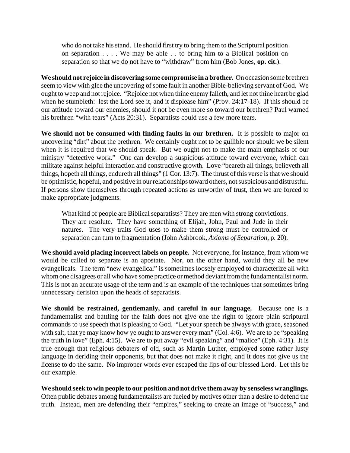who do not take his stand. He should first try to bring them to the Scriptural position on separation . . . . We may be able . . to bring him to a Biblical position on separation so that we do not have to "withdraw" from him (Bob Jones, **op. cit.**).

**We should not rejoice in discovering some compromise in a brother.** On occasion some brethren seem to view with glee the uncovering of some fault in another Bible-believing servant of God. We ought to weep and not rejoice. "Rejoice not when thine enemy falleth, and let not thine heart be glad when he stumbleth: lest the Lord see it, and it displease him" (Prov. 24:17-18). If this should be our attitude toward our enemies, should it not be even more so toward our brethren? Paul warned his brethren "with tears" (Acts 20:31). Separatists could use a few more tears.

**We should not be consumed with finding faults in our brethren.** It is possible to major on uncovering "dirt" about the brethren. We certainly ought not to be gullible nor should we be silent when it is required that we should speak. But we ought not to make the main emphasis of our ministry "detective work." One can develop a suspicious attitude toward everyone, which can militate against helpful interaction and constructive growth. Love "beareth all things, believeth all things, hopeth all things, endureth all things" (1 Cor. 13:7). The thrust of this verse is that we should be optimistic, hopeful, and positive in our relationships toward others, not suspicious and distrustful. If persons show themselves through repeated actions as unworthy of trust, then we are forced to make appropriate judgments.

What kind of people are Biblical separatists? They are men with strong convictions. They are resolute. They have something of Elijah, John, Paul and Jude in their natures. The very traits God uses to make them strong must be controlled or separation can turn to fragmentation (John Ashbrook, *Axioms of Separation*, p. 20).

**We should avoid placing incorrect labels on people.** Not everyone, for instance, from whom we would be called to separate is an apostate. Nor, on the other hand, would they all be new evangelicals. The term "new evangelical" is sometimes loosely employed to characterize all with whom one disagrees or all who have some practice or method deviant from the fundamentalist norm. This is not an accurate usage of the term and is an example of the techniques that sometimes bring unnecessary derision upon the heads of separatists.

**We should be restrained, gentlemanly, and careful in our language.** Because one is a fundamentalist and battling for the faith does not give one the right to ignore plain scriptural commands to use speech that is pleasing to God. "Let your speech be always with grace, seasoned with salt, that ye may know how ye ought to answer every man" (Col. 4:6). We are to be "speaking the truth in love" (Eph. 4:15). We are to put away "evil speaking" and "malice" (Eph. 4:31). It is true enough that religious debaters of old, such as Martin Luther, employed some rather lusty language in deriding their opponents, but that does not make it right, and it does not give us the license to do the same. No improper words ever escaped the lips of our blessed Lord. Let this be our example.

**We should seek to win people to our position and not drive them away by senseless wranglings.** Often public debates among fundamentalists are fueled by motives other than a desire to defend the truth. Instead, men are defending their "empires," seeking to create an image of "success," and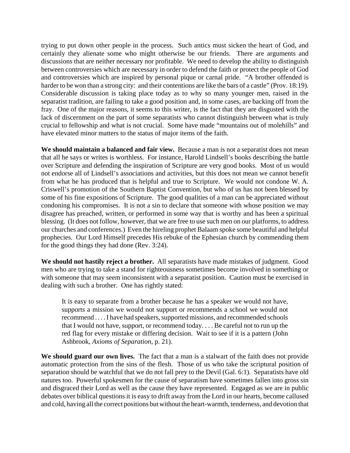trying to put down other people in the process. Such antics must sicken the heart of God, and certainly they alienate some who might otherwise be our friends. There are arguments and discussions that are neither necessary nor profitable. We need to develop the ability to distinguish between controversies which are necessary in order to defend the faith or protect the people of God and controversies which are inspired by personal pique or carnal pride. "A brother offended is harder to be won than a strong city: and their contentions are like the bars of a castle" (Prov. 18:19). Considerable discussion is taking place today as to why so many younger men, raised in the separatist tradition, are failing to take a good position and, in some cases, are backing off from the fray. One of the major reasons, it seems to this writer, is the fact that they are disgusted with the lack of discernment on the part of some separatists who cannot distinguish between what is truly crucial to fellowship and what is not crucial. Some have made "mountains out of molehills" and have elevated minor matters to the status of major items of the faith.

**We should maintain a balanced and fair view.** Because a man is not a separatist does not mean that all he says or writes is worthless. For instance, Harold Lindsell's books describing the battle over Scripture and defending the inspiration of Scripture are very good books. Most of us would not endorse all of Lindsell's associations and activities, but this does not mean we cannot benefit from what he has produced that is helpful and true to Scripture. We would not condone W. A. Criswell's promotion of the Southern Baptist Convention, but who of us has not been blessed by some of his fine expositions of Scripture. The good qualities of a man can be appreciated without condoning his compromises. It is not a sin to declare that someone with whose position we may disagree has preached, written, or performed in some way that is worthy and has been a spiritual blessing. (It does not follow, however, that we are free to use such men on our platforms, to address our churches and conferences.) Even the hireling prophet Balaam spoke some beautiful and helpful prophecies. Our Lord Himself precedes His rebuke of the Ephesian church by commending them for the good things they had done (Rev. 3:24).

**We should not hastily reject a brother.** All separatists have made mistakes of judgment. Good men who are trying to take a stand for righteousness sometimes become involved in something or with someone that may seem inconsistent with a separatist position. Caution must be exercised in dealing with such a brother. One has rightly stated:

It is easy to separate from a brother because he has a speaker we would not have, supports a mission we would not support or recommends a school we would not recommend . . . . I have had speakers, supported missions, and recommended schools that I would not have, support, or recommend today. . . . Be careful not to run up the red flag for every mistake or differing decision. Wait to see if it is a pattern (John Ashbrook, *Axioms of Separation*, p. 21).

We should guard our own lives. The fact that a man is a stalwart of the faith does not provide automatic protection from the sins of the flesh. Those of us who take the scriptural position of separation should be watchful that we do not fall prey to the Devil (Gal. 6:1). Separatists have old natures too. Powerful spokesmen for the cause of separatism have sometimes fallen into gross sin and disgraced their Lord as well as the cause they have represented. Engaged as we are in public debates over biblical questions it is easy to drift away from the Lord in our hearts, become callused and cold, having all the correct positions but without the heart-warmth, tenderness, and devotion that